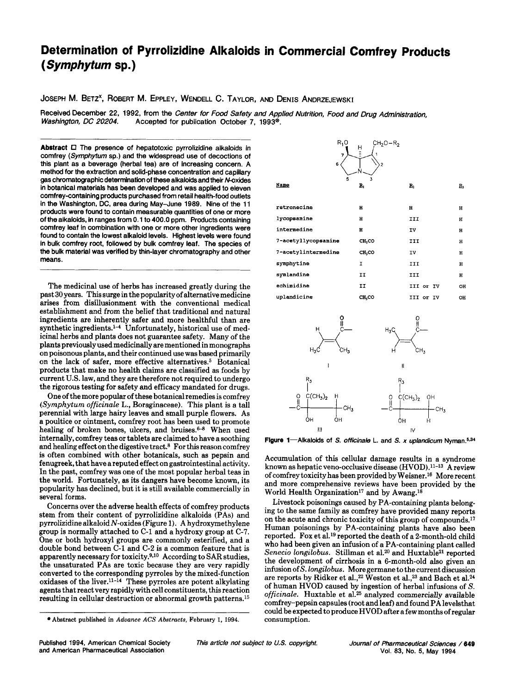# **Determination of Pyrrolizidine Alkaloids in Commercial Comfrey Products**  *(Symphytum* **sp.)**

JOSEPH **M.** BETZ', ROBERT **M.** EPPLEY, WENDELL *c.* TAYLOR, AND DENIS ANDRZEJEWSKI

Received December 22, 1992, from the *Center for Food Safety and Applied Nutrition, Food and Drug Administration,*<br>Washington, DC 20204. Accepted for publication October 7. 1993<sup>®</sup>. *Washington, DC 20204.* Accepted for publication October **7, 1993@.** 

**Abstract** *0* The presence of hepatotoxic pyrrolizidine alkaloids in comfrey *(Symphytum* sp.) and the widespread use of decoctions of this plant as a beverage (herbal tea) are of increasing concern. **A**  method for the extraction and solid-phase concentration and capillary gas chromatographic determination of these alkaloids and their N-oxides in botanical materials has been developed and was applied to eleven comfrey-containing products purchased from retail health-food outlets in the Washington, DC, area during May-June 1989. Nine of the 11 products were found to contain measurable quantities of one or more of the alkaloids, in ranges from 0.1 to 400.0 ppm. Products containing comfrey leaf in combination with one or more other ingredients were found to contain the lowest alkaloid levels. Highest levels were found in bulk comfrey root, followed by bulk comfrey leaf. The species of the bulk material was verified by thin-layer chromatography and other means.

The medicinal use of herbs has increased greatly during the past 30 years. **This** surge in the popularity of alternative medicine arises from disillusionment with the conventional medical establishment and from the belief that traditional and natural ingredients are inherently safer and more healthful than are synthetic ingredients.<sup>1-4</sup> Unfortunately, historical use of medicinal herbs and plants does not guarantee safety. Many of the plants previously used medicinally are mentioned in monographs on poisonous plants, and their continued use was based primarily on the lack of safer, more effective alternatives.<sup>5</sup> Botanical products that make no health claims are classified as foods by current U.S. law, and they are therefore not required to undergo the rigorous testing for safety and efficacy mandated for drugs.

One of the more popular of these botanical remedies is comfrey *(Syrnphyturn officinale* L., Boraginaceae). This plant is a tall perennial with large hairy leaves and small purple flowers. As a poultice or ointment, comfrey root has been used to promote healing of broken bones, ulcers, and bruises. $6-8$  When used internally, comfrey teas or tablets are claimed to have a soothing and healing effect on the digestive tract.8 For this reason comfrey is often combined with other botanicals, such as pepsin and fenugreek, that have a reputed effect on gastrointestinal activity. In the past, comfrey was one of the most popular herbal teas in the world. Fortunately, as its dangers have become known, its popularity has declined, but it is still available commercially in several forms.

Concerns over the adverse health effects of comfrey products stem from their content of pyrrolizidine alkaloids (PAS) and pyrrolizidine alkaloid  $N$ -oxides (Figure 1). A hydroxymethylene group is normally attached to C-1 and a hydroxy group at **C-7.**  One or both hydroxyl groups are commonly esterified, and a double bond between **C-1** and C-2 is a common feature that is apparently necessary for toxicity.<sup>9,10</sup> According to SAR studies, the unsaturated PAS are toxic because they are very rapidly converted to the corresponding pyrroles by the mixed-function oxidases of the liver.<sup>11-14</sup> These pyrroles are potent alkylating agents that react very rapidly with cell constituents, this reaction resulting in cellular destruction or abnormal growth patterns.15





Figure 1-Alkaloids of *S. officinale* L. and *S. x uplandicum* Nyman.<sup>5,34</sup>

Accumulation of this cellular damage results in a syndrome known as hepatic veno-occlusive disease (HVOD).11-13 A review of comfrey toxicity has been provided by Weisner.16 More recent and more comprehensive reviews have been provided by the World Health Organization<sup>17</sup> and by Awang.<sup>18</sup>

Livestock poisonings caused by PA-containing plants belonging to the same family as comfrey have provided many reports on the acute and chronic toxicity of this group of compounds.<sup>17</sup> Human poisonings by PA-containing plants have also been reported. Fox et al.19 reported the death of a 2-month-old child who had been given an infusion of a PA-containing plant called Senecio longilobus. Stillman et al.<sup>20</sup> and Huxtable<sup>21</sup> reported the development of cirrhosis in a 6-month-old also given an infusion of S. *longilobus.* More germane to the current discussion are reports by Ridker et **al.,22** Weston et **al.,23** and Bach et al.24 of human HVOD caused by ingestion of herbal infusions of S. *officinale.* Huxtable et al.25 analyzed commercially available comfrey-pepsin capsules (root and leaf) and found PA levelsthat could be expected to produce HVOD after a few months of regular consumption.

**<sup>\*</sup>Abstract published in Advance ACS Abstracts, February 1, 1994.** 

Published 1994, American Chemical Society and American Pharmaceutical Association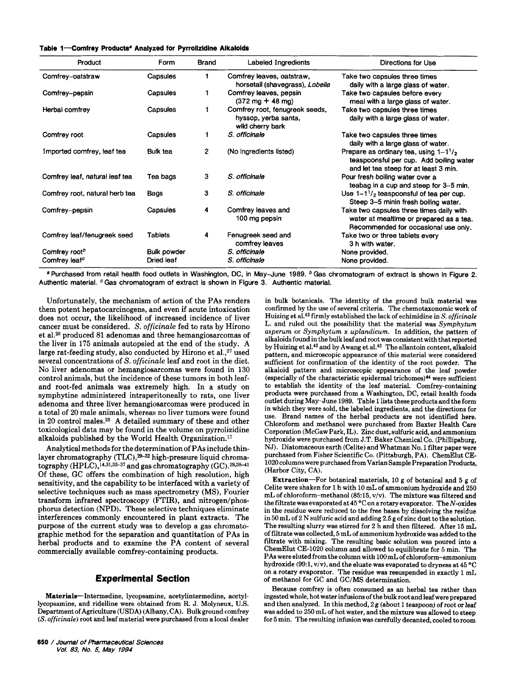|  | Table 1-Comfrey Products <sup>ª</sup> Analyzed for Pyrrolizidine Alkaloids |  |  |  |  |  |
|--|----------------------------------------------------------------------------|--|--|--|--|--|
|--|----------------------------------------------------------------------------|--|--|--|--|--|

| Product                        | Form               | Brand | Labeled Ingredients                                                        | Directions for Use                                                                                                           |
|--------------------------------|--------------------|-------|----------------------------------------------------------------------------|------------------------------------------------------------------------------------------------------------------------------|
| Comfrey-oatstraw               | Capsules           |       | Comfrey leaves, oatstraw,<br>horsetail (shavegrass), Lobelia               | Take two capsules three times<br>daily with a large glass of water.                                                          |
| Comfrey-pepsin                 | Capsules           |       | Comfrey leaves, pepsin<br>$(372 \text{ mg} + 48 \text{ mg})$               | Take two capsules before every<br>meal with a large glass of water.                                                          |
| Herbal comfrey                 | Capsules           |       | Comfrey root, fenugreek seeds,<br>hyssop, yerba santa,<br>wild cherry bark | Take two capsules three times<br>daily with a large glass of water.                                                          |
| Comfrey root                   | Capsules           |       | S. officinale                                                              | Take two capsules three times<br>daily with a large glass of water.                                                          |
| Imported comfrey, leaf tea     | Bulk tea           | 2     | (No ingredients listed)                                                    | Prepare as ordinary tea, using $1-1^1/2$<br>teaspoonsful per cup. Add boiling water<br>and let tea steep for at least 3 min. |
| Comfrey leaf, natural leaf tea | Tea bags           | 3     | S. officinale                                                              | Pour fresh boiling water over a<br>teabag in a cup and steep for 3-5 min.                                                    |
| Comfrey root, natural herb tea | Bags               | 3     | S. officinale                                                              | Use $1 - 1^{1/2}$ teaspoonsful of tea per cup.<br>Steep 3-5 minin fresh boiling water.                                       |
| Comfrey-pepsin                 | Capsules           | 4     | Comfrey leaves and<br>100 mg pepsin                                        | Take two capsules three times daily with<br>water at mealtime or prepared as a tea.<br>Recommended for occasional use only.  |
| Comfrey leaf/fenugreek seed    | Tablets            | 4     | Fenugreek seed and<br>comfrey leaves                                       | Take two or three tablets every<br>3 h with water.                                                                           |
| Comfrey root <sup>b</sup>      | <b>Bulk powder</b> |       | S. officinale                                                              | None provided.                                                                                                               |
| Comfrey leaf <sup>c</sup>      | Dried leaf         |       | S. officinale                                                              | None provided.                                                                                                               |

Purchased from retail health food outlets in Washington, DC, in May-June 1989. **Gas** chromatogram of extract is shown in Figure **2.**  Authentic material. *cGas* chromatogram of extract is shown in Figure **3.** Authentic material.

Unfortunately, the mechanism of action of the **PAS** renders them potent hepatocarcinogens, and even if acute intoxication does not occur, the likelihood of increased incidence of liver cancer must be considered. S. officinale fed to rats by Hirono et a1.26 produced 81 adenomas and three hemangiosarcomas of the liver in 175 animals autopsied at the end of the study. A large rat-feeding study, also conducted by Hirono et al., $27$  used several concentrations of S. officinale leaf and root in the diet. No liver adenomas or hemangiosarcomas were found in 130 control animals, but the incidence of these tumors in both leafand root-fed animals was extremely high. In a study on symphytine administered intraperitoneally to rats, one liver adenoma and three liver hemangiosarcomas were produced in a total of 20 male animals, whereas no liver tumors were found in 20 control males.28 A detailed summary of these and other toxicological data may be found in the volume on pyrrolizidine alkaloids published by the World Health Organization.<sup>17</sup>

Analytical methods for the determination of **PAS** include thinlayer chromatography (TLC),<sup>29-32</sup> high-pressure liquid chromatography **(HPLC)**, <sup>14,31,33-37</sup> and gas chromatography **(GC)**.<sup>29,38-41</sup> Of these, **GC** offers the combination of high resolution, high sensitivity, and the capability to be interfaced with a variety of selective techniques such as mass spectrometry (MS), Fourier transform infrared spectroscopy **(FTIR),** and nitrogen/phosphorus detection **(NPD).** These selective techniques eliminate interferences commonly encountered in plant extracts. The purpose of the current study was to develop a gas chromatographic method for the separation and quantitation of PAS in herbal products and to examine the **PA** content of several commercially available comfrey-containing products.

# **Experimental Section**

Materials-Intermedine, lycopsamine, acetylintermedine, acetyllycopsamine, and ridelline were obtained from R. J. Molyneux, U.S. Department of Agriculture (USDA) (Albany, CA). Bulk ground comfrey *(S.* officinale) root and leaf material were purchased from a local dealer

in bulk botanicals. The identity of the ground bulk material was confirmed by the use of several criteria. The chemotaxonomic work of Huizing et **al.42** firmly established the lack of echimidine in S. officinale L. and ruled out the possibility that the material was *Symphytum asperum* or *Symphytum x uplandicum.* In addition, the pattern of alkaloids found in the bulk leaf and root was consistent with that reported by Huizing et al.<sup>42</sup> and by Awang et al.<sup>43</sup> The allantoin content, alkaloid pattern, and microscopic appearance of this material were considered sufficient for confirmation of the identity of the root powder. The alkaloid pattern and microscopic appearance of the leaf powder (especially of the characteristic epidermal trichomes)44 were sufficient to establish the identity of the leaf material. Comfrey-containing products were purchased from a Washington, DC, retail health foods outlet during May-June 1989. Table 1 lists these products and the form in which they were sold, the labeled ingredients, and the directions for use. Brand names of the herbal products are not identified here. Chloroform and methanol were purchased from Baxter Health Care Corporation (McGaw Park, IL). Zinc dust, sulfuric acid, and ammonium hydroxide were purchased from J.T. Baker Chemical Co. (Phillipsburg, NJ). Diatomaceous earth (Celite) and Whatman No. 1 filter paper were purchased from Fisher Scientific Co. (Pittsburgh, PA). ChemElut CE-1020 columns were purchased from Varian Sample Preparation Products, (Harbor City, CA).

Extraction-For botanical materials, 10 g of botanical and 5 g of Celite were shaken for 1 h with 10 mL of ammonium hydroxide and 250 mL of chloroform--methanol (85:15, v/v). The mixture was filtered and the filtrate was evaporated at 45  $^{\circ}$ C on a rotary evaporator. The N-oxides in the residue were reduced to the free bases by dissolving the residue in 50 mL of 2 N sulfuric acid and adding 2.5 g of zinc dust to the solution. The resulting slurry was stirred for 2 h and then filtered. After 15 mL of filtrate was collected, 5 mL of ammonium hydroxide was added to the filtrate with mixing. The resulting basic solution was poured into a ChemElut CE-1020 column and allowed to equilibrate for 5 min. The **PAS** were eluted from the column with lOOmL of chloroform-ammonium hydroxide (99:1, v/v), and the eluate was evaporated to dryness at 45 °C on a rotary evaporator. The residue was resuspended in exactly 1 mL of methanol for GC and GC/MS determination.

Because comfrey is often consumed as an herbal tea rather than ingested whole, hot water infusions of the bulk root and leafwere prepared and then analyzed. In this method,  $2g$  (about 1 teaspoon) of root or leaf was added to 250 mL of hot water, and the mixture was allowed to steep for 5 min. The resulting infusion was carefully decanted, cooled to room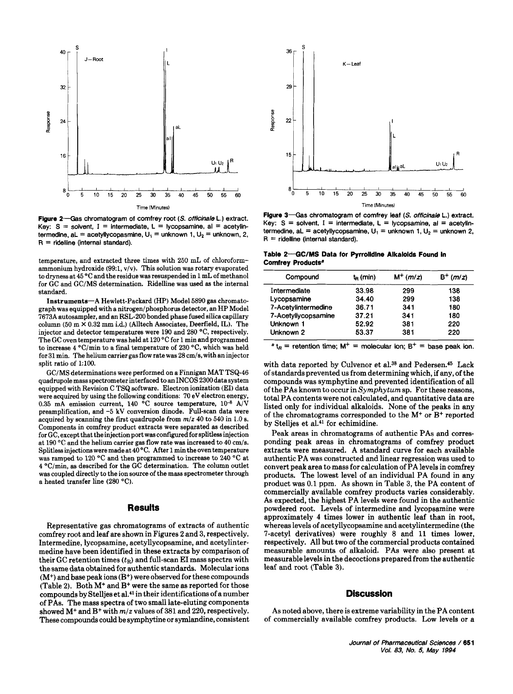

Figure **2-Gas** chromatogram of comfrey root *(S. officinale* L.) extract. Key:  $S =$  solvent,  $I =$  intermediate,  $L =$  lycopsamine, al  $=$  acetylintermedine,  $aL = acetyllycopasmine$ ,  $U_1 = unknown$ ,  $U_2 = unknown$ ,  $2$ , **<sup>R</sup>**= ridelline (internal standard).

temperature, and extracted three times with 250 mL of chloroformammonium hydroxide **(99:1,** v/v). This solution was rotary evaporated to dryness at **45** "C and the residue was resuspended in **1** mL of methanol for GC and GUMS determination. Ridelline was used **as** the internal standard.

Instruments-A Hewlett-Packard (HP) Model **5890** gas chromatograph was equipped with a nitrogen/phosphorus detector, an HP Model 7673A autosampler, and an RSL-200 bonded phase fused silica capillary column **(50** m **X** 0.32 mm i.d.) (Alltech Associates, Deerfield, IL). The injector and detector temperatures were 190 and 280 "C, respectively. The GC oven temperature was held at 120 °C for 1 min and programmed to increase **4** "C/min to a final temperature of 230 "C, which was held for 31 min. The helium carrier gas flow rate was 28 cm/s, with an injector split ratio of **1:lOO.** 

GC/MS determinations were performed on a Finnigan MAT TSQ-46 quadrupole mass spectrometer interfaced to an **INCOS** 2300 data system equipped with Revision C TSQ software. Electron ionization (EI) data were acquired by using the following conditions: 70 eV electron energy, 0.35 mA emission current, **140** "C source temperature, **lo4** AIV preamplification, and **-5 kV** conversion dinode. Full-scan data were acquired by scanning the first quadrupole from *m/z* 40 to 540 in 1.0 **8.**  Components in comfrey product extracts were separated as described for GC, except that the injection port was configured for splitless injection at 190 "C and the helium carrier gas flow rate was increased to 40 cm/s. Splitless injections were made at **40** "C. After 1 min the oven temperature was ramped to 120 "C and then programmed to increase to 240 "C at **4** "C/min, as described for the GC determination. The column outlet was coupled directly to the ion source of the mass spectrometer through a heated transfer line (280 "C).

### **Results**

Representative gas chromatograms of extracts of authentic comfrey root and leaf are shown in Figures 2 and **3,** respectively. Intermedine, lycopsamine, acetyllycopsamine, and acetylintermedine have been identified in these extracts by comparison of their GC retention times  $(t<sub>R</sub>)$  and full-scan EI mass spectra with the same data obtained for authentic standards. Molecular ions  $(M<sup>+</sup>)$  and base peak ions  $(B<sup>+</sup>)$  were observed for these compounds (Table 2). Both **M+** and B+ were the same as reported for those compounds by Stelljes et al.41 in their identifications of a number of PAS. The mass spectra of two small late-eluting components showed **M+** and B+ with *m/z* values of **381** and 220, respectively. These compounds could be symphytine or symlandine, consistent



Figure **3-Gas** chromatogram of comfrey leaf *(S. officinale* L.) extract. Key:  $S =$  solvent,  $I =$  intermediate,  $L =$  lycopsamine, al = acetylintermedine, aL = acetyllycopsamine,  $U_1$  = unknown **1**,  $U_2$  = unknown **2**,  $R =$  ridelline (internal standard).

Table 2-GC/MS Data for Pyrrolidine Alkaloids Found in Comfrey Products<sup>a</sup>

| Compound            | $t_{R}$ (min) | $M^{+}$ ( <i>m/z</i> ) | $B^+(m/z)$ |
|---------------------|---------------|------------------------|------------|
| Intermediate        | 33.98         | 299                    | 138        |
| Lycopsamine         | 34.40         | 299                    | 138        |
| 7-Acetylintermedine | 36.71         | 341                    | 180        |
| 7-Acetyllycopsamine | 37.21         | 341                    | 180        |
| Unknown 1           | 52.92         | 381                    | 220        |
| Unknown 2           | 53.37         | 381                    | 220        |

 $a<sub>R</sub>$  = retention time;  $M<sup>+</sup>$  = molecular ion;  $B<sup>+</sup>$  = base peak ion.

with data reported by Culvenor et al.<sup>38</sup> and Pedersen.<sup>45</sup> Lack of standards prevented us from determining which, if any, of the compounds was symphytine and prevented identification of all of the PAS known to occur in *Symphytum* sp. For these reasons, total PA contents were not calculated, and quantitative data are listed only for individual alkaloids. None of the peaks in any of the chromatograms corresponded to the M+ or **B+** reported by Stelljes et al.<sup>41</sup> for echimidine.

Peak areas in chromatograms of authentic PAS and corresponding peak areas in chromatograms of comfrey product extracts were measured. A standard curve for each available authentic PA was constructed and linear regression was used to convert peak area to mass for calculation of PA levels in comfrey products. The lowest level of an individual PA found in any product was 0.1 ppm. As shown in Table **3,** the PA content of commercially available comfrey products varies considerably. As expected, the highest PA levels were found in the authentic powdered root. Levels of intermedine and lycopsamine were approximately **4** times lower in authentic leaf than in root, whereas levels of acetyllycopsamine and acetylintermedine (the 7-acetyl derivatives) were roughly 8 and **11** times lower, respectively. All but two of the commercial products contained measurable amounts of alkaloid. PAS were also present at measurable levels in the decoctions prepared from the authentic leaf and root (Table **3).** 

#### **Discussion**

As noted above, there is extreme variability in the PA content of commercially available comfrey products. Low levels or a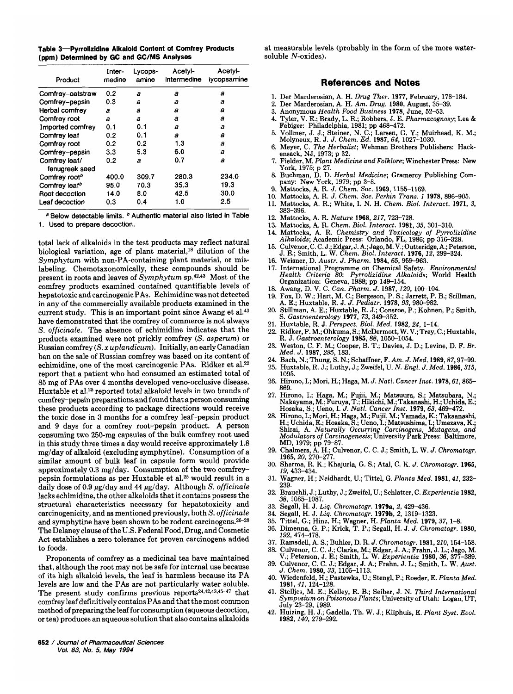|                                           | Table 3-Pyrrolizidine Alkaloid Content of Comfrey Products |
|-------------------------------------------|------------------------------------------------------------|
| (ppm) Determined by GC and GC/MS Analyses |                                                            |

| Product                         | Inter-<br>medine | Lycops-<br>amine | Acetyl-<br>intermedine | Acetyl-<br>lycopsamine |
|---------------------------------|------------------|------------------|------------------------|------------------------|
| Comfrey-oatstraw                | 0.2              | а                | а                      | а                      |
| Comfrey-pepsin                  | 0.3              | а                | а                      | а                      |
| Herbal comfrey                  | а                | а                | a                      | а                      |
| Comfrey root                    | a                | а                | a                      | а                      |
| Imported comfrey                | 0.1              | 0.1              | а                      | a                      |
| Comfrey leaf                    | 0.2              | 0.1              | a                      | а                      |
| Comfrey root                    | 0.2              | 0.2              | 1.3                    | a                      |
| Comfrey-pepsin                  | 3.3              | 5.3              | 6.0                    | a                      |
| Comfrey leaf/<br>fenugreek seed | 0.2              | а                | 0.7                    | а                      |
| Comfrey root <sup>b</sup>       | 400.0            | 309.7            | 280.3                  | 234.0                  |
| Comfrey leaf <sup>b</sup>       | 95.0             | 70.3             | 35.3                   | 19.3                   |
| Root decoction                  | 14.0             | 8.0              | 42.5                   | 30.0                   |
| Leaf decoction                  | 0.3              | 0.4              | 1.0                    | 2.5                    |

<sup>a</sup> Below detectable limits. <sup>b</sup> Authentic material also listed in Table **1.** Used to prepare decoction.

total lack of alkaloids in the test products may reflect natural biological variation, age of plant material,18 dilution of the Symphyturn with non-PA-containing plant material, or mislabeling. Chemotaxonomically, these compounds should be present in roots and leaves of Symphytum sp.42.43 Most of the comfrey products examined contained quantifiable levels of hepatotoxic and carcinogenic PAS. Echimidine was not detected in any of the commercially available products examined in the current study. This is an important point since Awang et al.<sup>43</sup> have demonstrated that the comfrey of commerce is not always *S.* officinale. The absence of echimidine indicates that the products examined were not prickly comfrey *(S.* asperum) or Russian comfrey (S. *x* uplandicum). Initially, an early Canadian ban on the sale of Russian comfrey was based on its content of echimidine, one of the most carcinogenic PAS. Ridker et a1.22 report that a patient who had consumed an estimated total of 85 mg of PAS over 4 months developed veno-occlusive disease. Huxtable et al.25 reported total alkaloid levels in two brands of comfrey-pepsin preparations and found that a person consuming these products according to package directions would receive the toxic dose in **3** months for a comfrey leaf-pepsin product and 9 days for a comfrey root-pepsin product. A person consuming two 250-mg capsules of the bulk comfrey root used in this study three times a day would receive approximately 1.8 mg/day of alkaloid (excluding symphytine). Consumption of a similar amount of bulk leaf in capsule form would provide approximately **0.3** mg/day. Consumption of the two comfreypepsin formulations as per Huxtable et al.25 would result in a daily dose of 0.9  $\mu$ g/day and 44  $\mu$ g/day. Although S. officinale lacks echimidine, the other alkaloids that it contains possess the structural characteristics necessary for hepatotoxicity and carcinogenicity, and **as** mentioned previously, both S. officinale and symphytine have been shown to be rodent carcinogens.<sup>26-28</sup> The Delaney clause of the U.S. Federal Food, Drug, and Cosmetic Act establishes **a** zero tolerance for proven carcinogens added to foods.

Proponents of comfrey as a medicinal tea have maintained that, although the root may not be safe for internal use because of its high alkaloid levels, the leaf is harmless because its PA levels are low and the PAS are not particularly water soluble. The present study confirms previous reports<sup>24,42,43,45-47</sup> that comfrey leaf definitively contains **PAS** and that the most common method of preparing the leaf for consumption (aqueous decoction, or tea) produces an aqueous solution that also contains alkaloids

at measurable levels (probably in the form of the more watersoluble N-oxides).

## **References and Notes**

- **1.** Der Marderosian, **A.** H. *Drug Ther.* **1977,** February, **178-184.**
- **2.** Der Marderosian, A. H. *Am. Drug.* **1980,** August, **35-39.**
- **3.** Anonymous *Health Food Business* **1978,** June, **52-53.**
- 4. Tyler, V. E.; Brady, L. R.; Robbers, J. E. *Pharmacognosy;* Lea *C*  Febiger: Philadelphia, **1981;** pp **468-472.**
- 5. Vollmer, J. J.; Steiner, N. C.; Larsen, G. Y.; Muirhead, K. M.; Molyneux, R. J. *J. Chem. Ed.* **1987,64, 1027-1030.**
- **6.** Meyer, C. *The Herbalist;* Wehman Brothers Publishers: Hackensack, NJ, **1973;** p **32.**
- **7.** Fielder, M. *Plant Medicine and Folklore;* Winchester Press: New York, **1975;** p **27.**
- **8.** Buchman, D. D. *Herbal Medicine;* Gramercy Publishing Company: New York, **1979;** pp **3-8.**
- **9.** Mattocks, A. **R.** J. *Chem. SOC.* **1969,1155-1169.**
- 
- **10.** Mattocks, **A.** R. J. *Chem. SOC. Perkin Trans.* **1 1978, 896-905. 11.** Mattocks, A. R.; White, I. N. H. *Chem. Biol. Interact.* **1971, 3, 383-396.**
- **12.** Mattocks, **A. R.** *Nature* **1968,217, 723-728.**
- **13.** Mattocks, **A. R.** *Chem. Biol. Interact.* **1981, 35, 301-310.**
- **14.** Mattocks, **A.** R. *Chemistry and Toxicology* of *Pyrrolizidine Alkaloids;* Academic Press: Orlando, FL, **1986; pp 316-328.**
- 15. Culvenor, C. C. J.; Edgar, J. A.; Jago, M. V.; Outteridge, A.; Peterson, J. E.; Smith, L. W. *Chem. Biol. Interact.* **1976**, *12*, 299–324.
- **16.** Weisner. D. *Austr. J. Pharm.* **1984. 65. 959-963.**
- **17.** International Programme on Chemical Safety. *Environmental Health Criteria* **80** *Pyrrolizidine Alkaloids;* World Health Organization: Geneva, 1988; pp 149-154.
- **18. Awang,** D. **V.** *C. Can. Pharm. J.* **1987,120,100-104.**
- **19.** Fox, **D. W.;** Hart, M. C.; Bergeson, P. **S.;** Jarrett, P. B.; Stillman, A. E.; Huxtable, R. J. J. *Pediatr.* **1978, 93, 980-982.**
- **20.** Stillman, **A.** E.; Huxtable, R. J.; Consroe, P.; Kohnen, P.; Smith, S. *Gastroenterology* **1977, 73, 349-352.**
- **21.** Huxtable, R. J. *Perspect. Biol. Med.* **1982, 24, 1-14.**
- **22.** Ridker, P. M.; Ohkuma, S.; McDermott, W. V.; Trey, C.; Huxtable, R. J. *Gastroenterology* **1985,88, 1050-1054.**
- **23.** Weston, C. F. M.; Cooper, B. T.; Davies, J. D.; Levine, D. F. Br. *Med.* J. **1987, 295, 183.**
- **24.** Bach, N.; Thung, S. N.; Schaffner, F. *Am.* J. *Med.* **1989,87,97-99. 25.** Huxtable, R. J.; Luthy, J.; Zweifel, U. *N. Engl.* J. *Med.* **1986,315,**
- **1095.**
- **26.** Hirono, I.; Mori, H.; Haga, M. J. *Natl. Cancer Imt.* **1978,61,865- 869.**
- **27.** Hirono, **I.;** Haga, M.; Fujii, M.; Matsuura, S.; Matsubara, N.; Nakayama, M.; Furuya, T.; Hikichi, M.; Takanashi, H.; Uchida, E.; Hosaka, S.; Ueno, I. J. *Natl. Cancer Inst.* **1979,63, 469-472.**
- 28. Hirono, I.; Mori, H.; Haga, M.; Fujii, M.; Yamada, K.; Takaanashi, H.; Uchida, E.; Hosaka, S.; Ueno, I.; Matsushima, I.; Umezava, K.; Shirai, A. Naturally Occurring Carcinogens, Mutagens, and Modulators of Carcinogenes MD, 1979; pp 79-87.
- **29. Chalmers, A. H.; Culvenor, C. C. J.; Smith, L. W. J.** *Chromatogr.* **<b>1965**, 20, 270–277.
- **30.** Sharma; R. **K.;** Khajuria, G. S.; Atal, C. K. J. *Chromatogr.* **1965, 19,433-434.**
- **31.** Wagner, **H.;** Neidhardt, U.; Tittel, G. *Planta Med.* **1981,41,232- 239.**
- **32.** Brauchli, J.; Luthy, J.; Zweifel, U.; Schlatter, C. *Erperientia* **1982, 38,1085-1087.**
- **33.** Segall, H. J. *Liq. Chromatogr.* **1979a, 2,429-436.**
- **34.** Segall, H. J. *Liq. Chromatogr.* **1979b, 2, 1319-1323.**
- **35.** Tittel, **G.;** Hinz, H.; Wagner, H. *Planta Med.* **1979, 37, 1-8.**
- **36.** Dimenna, G. P.; Krick, T. P.; Segall, H. J. J. *Chromatogr.* **1980, 192, 474-478,**
- **37.** Ramsdell, A. **S.;** Buhler, D. R. J. *Chromatogr.* **1981,210,154-158. 38.** Culvenor, C. C. J.; Clarke, M.; Edgar, J. A.; Frahn, J. L.; Jago, M. V.; Peterson, J. E.; Smith, L. W. *Experientia* **1980,36, 377-389.**
- **39.** Culvenor, C. C. J.; Edgar, J. A.; Frahn, J. L.; Smith, L. W. *Aust. J. Chem.* **1980,33, 1105-1113.**
- **40.** Wiedenfeld, H.; Pastewka, U.; Stengl, P.; Roeder, E. *Planta Med.*  **1981, 41, 124-128.**
- **41.** Stelljes, M. E.; Kelley, R. B.; Seiber, J. N. *Third International Symposium on Poisonous Plants; University of Utah: Logan, UT,* July **23-29, 1989.**
- **42.** Huizing, H. J.; Gadella, Th. W. J.; Kliphuis, E. *Plant Syst. Evol.*  **1982, 140, 279-292.**